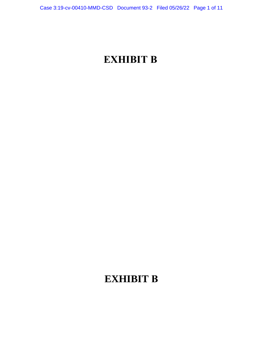# **EXHIBIT B**

## **EXHIBIT B**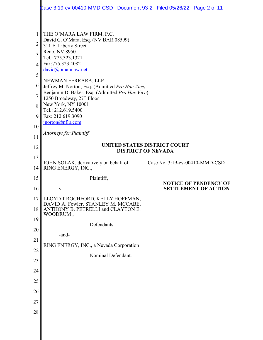|                | Case 3:19-cv-00410-MMD-CSD  Document 93-2  Filed 05/26/22  Page 2 of 11            |  |                                |                                                             |  |
|----------------|------------------------------------------------------------------------------------|--|--------------------------------|-------------------------------------------------------------|--|
|                |                                                                                    |  |                                |                                                             |  |
| 1              | THE O'MARA LAW FIRM, P.C.<br>David C. O'Mara, Esq. (NV BAR 08599)                  |  |                                |                                                             |  |
| $\overline{2}$ | 311 E. Liberty Street                                                              |  |                                |                                                             |  |
| $\overline{3}$ | Reno, NV 89501<br>Tel.: 775.323.1321                                               |  |                                |                                                             |  |
| 4              | Fax:775.323.4082<br>david@omaralaw.net                                             |  |                                |                                                             |  |
| 5              | NEWMAN FERRARA, LLP<br>Jeffrey M. Norton, Esq. (Admitted Pro Hac Vice)             |  |                                |                                                             |  |
| 6              |                                                                                    |  |                                |                                                             |  |
| $\overline{7}$ | Benjamin D. Baker, Esq. (Admitted Pro Hac Vice)<br>1250 Broadway, 27th Floor       |  |                                |                                                             |  |
| 8              | New York, NY 10001                                                                 |  |                                |                                                             |  |
| 9              | Tel.: 212.619.5400<br>Fax: 212.619.3090                                            |  |                                |                                                             |  |
| 10             | $\frac{\text{inorton}(a)}{n}$ flp.com                                              |  |                                |                                                             |  |
| 11             | <b>Attorneys for Plaintiff</b>                                                     |  |                                |                                                             |  |
| 12             | <b>UNITED STATES DISTRICT COURT</b>                                                |  |                                |                                                             |  |
| 13             | <b>DISTRICT OF NEVADA</b>                                                          |  |                                |                                                             |  |
| 14             | JOHN SOLAK, derivatively on behalf of<br>RING ENERGY, INC.,                        |  | Case No. 3:19-cv-00410-MMD-CSD |                                                             |  |
| 15             | Plaintiff,                                                                         |  |                                |                                                             |  |
| 16             | V.                                                                                 |  |                                | <b>NOTICE OF PENDENCY OF</b><br><b>SETTLEMENT OF ACTION</b> |  |
| 17             | LLOYD T ROCHFORD, KELLY HOFFMAN,                                                   |  |                                |                                                             |  |
| 18             | DAVID A. Fowler, STANLEY M. MCCABE, ANTHONY B. PETRELLI and CLAYTON E.<br>WOODRUM, |  |                                |                                                             |  |
| 19             | Defendants.                                                                        |  |                                |                                                             |  |
| 20             | -and-                                                                              |  |                                |                                                             |  |
| 21             | RING ENERGY, INC., a Nevada Corporation                                            |  |                                |                                                             |  |
| 22             | Nominal Defendant.                                                                 |  |                                |                                                             |  |
| 23             |                                                                                    |  |                                |                                                             |  |
| 24             |                                                                                    |  |                                |                                                             |  |
| 25             |                                                                                    |  |                                |                                                             |  |
| 26             |                                                                                    |  |                                |                                                             |  |
| 27             |                                                                                    |  |                                |                                                             |  |
| 28             |                                                                                    |  |                                |                                                             |  |
|                |                                                                                    |  |                                |                                                             |  |
|                |                                                                                    |  |                                |                                                             |  |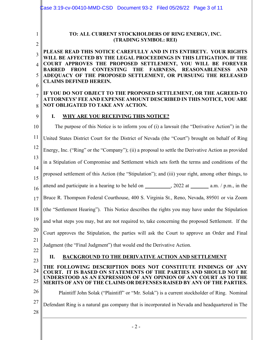|                             | Lase 3:19-cv-00410-MMD-CSD Document 93-2    Filed 05/26/22    Page 3 of 11                                                                 |  |  |  |
|-----------------------------|--------------------------------------------------------------------------------------------------------------------------------------------|--|--|--|
| 1                           | TO: ALL CURRENT STOCKHOLDERS OF RING ENERGY, INC.<br>(TRADING SYMBOL: REI)                                                                 |  |  |  |
| $\overline{2}$              |                                                                                                                                            |  |  |  |
| 3                           | PLEASE READ THIS NOTICE CAREFULLY AND IN ITS ENTIRETY. YOUR RIGHTS<br>WILL BE AFFECTED BY THE LEGAL PROCEEDINGS IN THIS LITIGATION. IF THE |  |  |  |
| $\boldsymbol{\vartriangle}$ | COURT APPROVES THE PROPOSED SETTLEMENT, YOU WILL BE FOREVER<br>BARRED FROM CONTESTING THE FAIRNESS, REASONABLENESS<br><b>AND</b>           |  |  |  |
| 5                           | ADEQUACY OF THE PROPOSED SETTLEMENT, OR PURSUING THE RELEASED<br><b>CLAIMS DEFINED HEREIN.</b>                                             |  |  |  |
| 6                           | IF YOU DO NOT OBJECT TO THE PROPOSED SETTLEMENT, OR THE AGREED-TO                                                                          |  |  |  |
| $\overline{7}$<br>8         | ATTORNEYS' FEE AND EXPENSE AMOUNT DESCRIBED IN THIS NOTICE, YOU ARE<br>NOT OBLIGATED TO TAKE ANY ACTION.                                   |  |  |  |
| 9                           | I.<br><b>WHY ARE YOU RECEIVING THIS NOTICE?</b>                                                                                            |  |  |  |
| 10                          | The purpose of this Notice is to inform you of (i) a lawsuit (the "Derivative Action") in the                                              |  |  |  |
| 11                          | United States District Court for the District of Nevada (the "Court") brought on behalf of Ring                                            |  |  |  |
| 12                          | Energy, Inc. ("Ring" or the "Company"); (ii) a proposal to settle the Derivative Action as provided                                        |  |  |  |
| 13                          | in a Stipulation of Compromise and Settlement which sets forth the terms and conditions of the                                             |  |  |  |
| 14<br>15                    | proposed settlement of this Action (the "Stipulation"); and (iii) your right, among other things, to                                       |  |  |  |
| 16                          | attend and participate in a hearing to be held on __________, 2022 at _________ a.m. / p.m., in the                                        |  |  |  |
| 17                          | Bruce R. Thompson Federal Courthouse, 400 S. Virginia St., Reno, Nevada, 89501 or via Zoom                                                 |  |  |  |
| 18                          | (the "Settlement Hearing"). This Notice describes the rights you may have under the Stipulation                                            |  |  |  |
| 19                          | and what steps you may, but are not required to, take concerning the proposed Settlement. If the                                           |  |  |  |
| 20                          | Court approves the Stipulation, the parties will ask the Court to approve an Order and Final                                               |  |  |  |
| 21<br>22                    | Judgment (the "Final Judgment") that would end the Derivative Action.                                                                      |  |  |  |
| 23                          | <b>BACKGROUND TO THE DERIVATIVE ACTION AND SETTLEMENT</b><br>П.                                                                            |  |  |  |
| 24                          | THE FOLLOWING DESCRIPTION DOES NOT CONSTITUTE FINDINGS OF ANY<br><b>COURT. IT IS BASED ON STATEMENTS OF THE PARTIES AND SHOULD NOT BE</b>  |  |  |  |
| 25                          | UNDERSTOOD AS AN EXPRESSION OF ANY OPINION OF ANY COURT AS TO THE<br>MERITS OF ANY OF THE CLAIMS OR DEFENSES RAISED BY ANY OF THE PARTIES. |  |  |  |
| 26                          | Plaintiff John Solak ("Plaintiff" or "Mr. Solak") is a current stockholder of Ring. Nominal                                                |  |  |  |
| 27                          | Defendant Ring is a natural gas company that is incorporated in Nevada and headquartered in The                                            |  |  |  |
| 28                          |                                                                                                                                            |  |  |  |
|                             | $-2-$                                                                                                                                      |  |  |  |
|                             |                                                                                                                                            |  |  |  |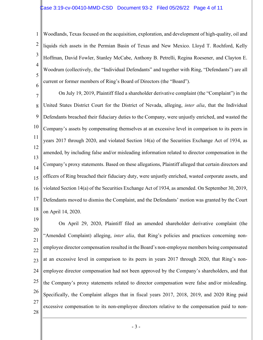1 2 3 4 5 6 Woodlands, Texas focused on the acquisition, exploration, and development of high-quality, oil and liquids rich assets in the Permian Basin of Texas and New Mexico. Lloyd T. Rochford, Kelly Hoffman, David Fowler, Stanley McCabe, Anthony B. Petrelli, Regina Roesener, and Clayton E. Woodrum (collectively, the "Individual Defendants" and together with Ring, "Defendants") are all current or former members of Ring's Board of Directors (the "Board").

7 8 9 10 11 12 13 14 15 16 17 18 On July 19, 2019, Plaintiff filed a shareholder derivative complaint (the "Complaint") in the United States District Court for the District of Nevada, alleging, *inter alia*, that the Individual Defendants breached their fiduciary duties to the Company, were unjustly enriched, and wasted the Company's assets by compensating themselves at an excessive level in comparison to its peers in years 2017 through 2020, and violated Section 14(a) of the Securities Exchange Act of 1934, as amended, by including false and/or misleading information related to director compensation in the Company's proxy statements. Based on these allegations, Plaintiff alleged that certain directors and officers of Ring breached their fiduciary duty, were unjustly enriched, wasted corporate assets, and violated Section 14(a) of the Securities Exchange Act of 1934, as amended. On September 30, 2019, Defendants moved to dismiss the Complaint, and the Defendants' motion was granted by the Court on April 14, 2020.

19 20 21 22 23 24 25 26 27 28 On April 29, 2020, Plaintiff filed an amended shareholder derivative complaint (the "Amended Complaint) alleging, *inter alia*, that Ring's policies and practices concerning nonemployee director compensation resulted in the Board's non-employee members being compensated at an excessive level in comparison to its peers in years 2017 through 2020, that Ring's nonemployee director compensation had not been approved by the Company's shareholders, and that the Company's proxy statements related to director compensation were false and/or misleading. Specifically, the Complaint alleges that in fiscal years 2017, 2018, 2019, and 2020 Ring paid excessive compensation to its non-employee directors relative to the compensation paid to non-

- 3 -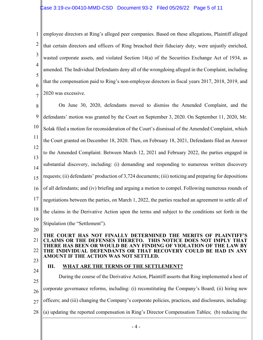1 2 3 4 5 6 7 employee directors at Ring's alleged peer companies. Based on these allegations, Plaintiff alleged that certain directors and officers of Ring breached their fiduciary duty, were unjustly enriched, wasted corporate assets, and violated Section 14(a) of the Securities Exchange Act of 1934, as amended. The Individual Defendants deny all of the wrongdoing alleged in the Complaint, including that the compensation paid to Ring's non-employee directors in fiscal years 2017, 2018, 2019, and 2020 was excessive.

8 9 10 11 12 13 14 15 16 17 18 19 20 On June 30, 2020, defendants moved to dismiss the Amended Complaint, and the defendants' motion was granted by the Court on September 3, 2020. On September 11, 2020, Mr. Solak filed a motion for reconsideration of the Court's dismissal of the Amended Complaint, which the Court granted on December 18, 2020. Then, on February 18, 2021, Defendants filed an Answer to the Amended Complaint. Between March 12, 2021 and February 2022, the parties engaged in substantial discovery, including: (i) demanding and responding to numerous written discovery requests; (ii) defendants' production of 3,724 documents; (iii) noticing and preparing for depositions of all defendants; and (iv) briefing and arguing a motion to compel. Following numerous rounds of negotiations between the parties, on March 1, 2022, the parties reached an agreement to settle all of the claims in the Derivative Action upon the terms and subject to the conditions set forth in the Stipulation (the "Settlement").

#### 21 22 **THE COURT HAS NOT FINALLY DETERMINED THE MERITS OF PLAINTIFF'S CLAIMS OR THE DEFENSES THERETO. THIS NOTICE DOES NOT IMPLY THAT THERE HAS BEEN OR WOULD BE ANY FINDING OF VIOLATION OF THE LAW BY THE INDIVIDUAL DEFENDANTS OR THAT RECOVERY COULD BE HAD IN ANY AMOUNT IF THE ACTION WAS NOT SETTLED.**

23

#### **III. WHAT ARE THE TERMS OF THE SETTLEMENT?**

24 25 26 27 28 During the course of the Derivative Action, Plaintiff asserts that Ring implemented a host of corporate governance reforms, including: (i) reconstituting the Company's Board; (ii) hiring new officers; and (iii) changing the Company's corporate policies, practices, and disclosures, including: (a) updating the reported compensation in Ring's Director Compensation Tables; (b) reducing the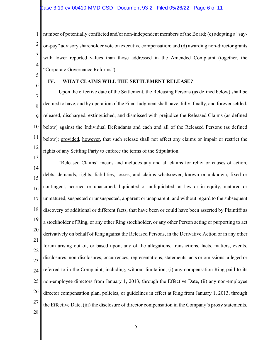1 2 3 4 number of potentially conflicted and/or non-independent members of the Board; (c) adopting a "sayon-pay" advisory shareholder vote on executive compensation; and (d) awarding non-director grants with lower reported values than those addressed in the Amended Complaint (together, the "Corporate Governance Reforms").

- 5
- 6

### **IV. WHAT CLAIMS WILL THE SETTLEMENT RELEASE?**

7 8 9 10 11 12 Upon the effective date of the Settlement, the Releasing Persons (as defined below) shall be deemed to have, and by operation of the Final Judgment shall have, fully, finally, and forever settled, released, discharged, extinguished, and dismissed with prejudice the Released Claims (as defined below) against the Individual Defendants and each and all of the Released Persons (as defined below); provided, however, that such release shall not affect any claims or impair or restrict the rights of any Settling Party to enforce the terms of the Stipulation.

- 13 14 15 16 17 18 19 20 21 22 23 24 25 26 27 "Released Claims" means and includes any and all claims for relief or causes of action, debts, demands, rights, liabilities, losses, and claims whatsoever, known or unknown, fixed or contingent, accrued or unaccrued, liquidated or unliquidated, at law or in equity, matured or unmatured, suspected or unsuspected, apparent or unapparent, and without regard to the subsequent discovery of additional or different facts, that have been or could have been asserted by Plaintiff as a stockholder of Ring, or any other Ring stockholder, or any other Person acting or purporting to act derivatively on behalf of Ring against the Released Persons, in the Derivative Action or in any other forum arising out of, or based upon, any of the allegations, transactions, facts, matters, events, disclosures, non-disclosures, occurrences, representations, statements, acts or omissions, alleged or referred to in the Complaint, including, without limitation, (i) any compensation Ring paid to its non-employee directors from January 1, 2013, through the Effective Date, (ii) any non-employee director compensation plan, policies, or guidelines in effect at Ring from January 1, 2013, through the Effective Date, (iii) the disclosure of director compensation in the Company's proxy statements,
- 28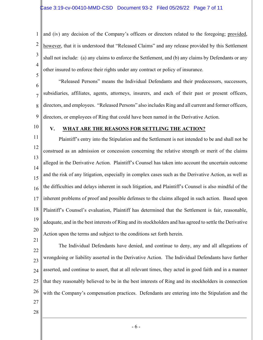1 2 3 4 5 and (iv) any decision of the Company's officers or directors related to the foregoing; provided, however, that it is understood that "Released Claims" and any release provided by this Settlement shall not include: (a) any claims to enforce the Settlement, and (b) any claims by Defendants or any other insured to enforce their rights under any contract or policy of insurance.

6 7 8 9 "Released Persons" means the Individual Defendants and their predecessors, successors, subsidiaries, affiliates, agents, attorneys, insurers, and each of their past or present officers, directors, and employees. "Released Persons" also includes Ring and all current and former officers, directors, or employees of Ring that could have been named in the Derivative Action.

10

#### **V. WHAT ARE THE REASONS FOR SETTLING THE ACTION?**

11 12 13 14 15 16 17 18 19 20 Plaintiff's entry into the Stipulation and the Settlement is not intended to be and shall not be construed as an admission or concession concerning the relative strength or merit of the claims alleged in the Derivative Action. Plaintiff's Counsel has taken into account the uncertain outcome and the risk of any litigation, especially in complex cases such as the Derivative Action, as well as the difficulties and delays inherent in such litigation, and Plaintiff's Counsel is also mindful of the inherent problems of proof and possible defenses to the claims alleged in such action. Based upon Plaintiff's Counsel's evaluation, Plaintiff has determined that the Settlement is fair, reasonable, adequate, and in the best interests of Ring and its stockholders and has agreed to settle the Derivative Action upon the terms and subject to the conditions set forth herein.

22 23 24 25 26 The Individual Defendants have denied, and continue to deny, any and all allegations of wrongdoing or liability asserted in the Derivative Action. The Individual Defendants have further asserted, and continue to assert, that at all relevant times, they acted in good faith and in a manner that they reasonably believed to be in the best interests of Ring and its stockholders in connection with the Company's compensation practices. Defendants are entering into the Stipulation and the

27 28

21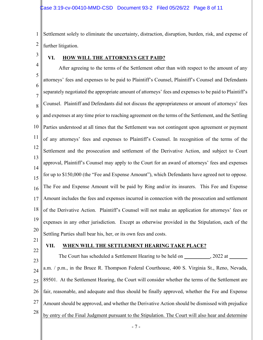1 2 Settlement solely to eliminate the uncertainty, distraction, disruption, burden, risk, and expense of further litigation.

3

### **VI. HOW WILL THE ATTORNEYS GET PAID?**

4 5 6 7 8 9 10 11 12 13 14 15 16 17 18 19 20 After agreeing to the terms of the Settlement other than with respect to the amount of any attorneys' fees and expenses to be paid to Plaintiff's Counsel, Plaintiff's Counsel and Defendants separately negotiated the appropriate amount of attorneys' fees and expenses to be paid to Plaintiff's Counsel. Plaintiff and Defendants did not discuss the appropriateness or amount of attorneys' fees and expenses at any time prior to reaching agreement on the terms of the Settlement, and the Settling Parties understood at all times that the Settlement was not contingent upon agreement or payment of any attorneys' fees and expenses to Plaintiff's Counsel. In recognition of the terms of the Settlement and the prosecution and settlement of the Derivative Action, and subject to Court approval, Plaintiff's Counsel may apply to the Court for an award of attorneys' fees and expenses for up to \$150,000 (the "Fee and Expense Amount"), which Defendants have agreed not to oppose. The Fee and Expense Amount will be paid by Ring and/or its insurers. This Fee and Expense Amount includes the fees and expenses incurred in connection with the prosecution and settlement of the Derivative Action. Plaintiff's Counsel will not make an application for attorneys' fees or expenses in any other jurisdiction. Except as otherwise provided in the Stipulation, each of the Settling Parties shall bear his, her, or its own fees and costs.

21 22

#### **VII. WHEN WILL THE SETTLEMENT HEARING TAKE PLACE?**

23 24 25 26 27 28 The Court has scheduled a Settlement Hearing to be held on  $\qquad \qquad , 2022$  at a.m. / p.m., in the Bruce R. Thompson Federal Courthouse, 400 S. Virginia St., Reno, Nevada, 89501. At the Settlement Hearing, the Court will consider whether the terms of the Settlement are fair, reasonable, and adequate and thus should be finally approved, whether the Fee and Expense Amount should be approved, and whether the Derivative Action should be dismissed with prejudice by entry of the Final Judgment pursuant to the Stipulation. The Court will also hear and determine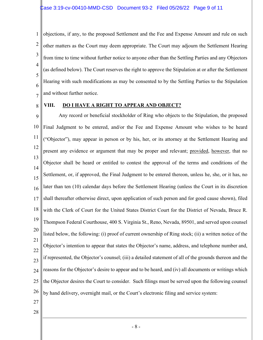1 2 3 4 5 6 7 objections, if any, to the proposed Settlement and the Fee and Expense Amount and rule on such other matters as the Court may deem appropriate. The Court may adjourn the Settlement Hearing from time to time without further notice to anyone other than the Settling Parties and any Objectors (as defined below). The Court reserves the right to approve the Stipulation at or after the Settlement Hearing with such modifications as may be consented to by the Settling Parties to the Stipulation and without further notice.

8

### **VIII. DO I HAVE A RIGHT TO APPEAR AND OBJECT?**

9 10 11 12 13 14 15 16 17 18 19 20 21 22 23 24 25 26 Any record or beneficial stockholder of Ring who objects to the Stipulation, the proposed Final Judgment to be entered, and/or the Fee and Expense Amount who wishes to be heard ("Objector"), may appear in person or by his, her, or its attorney at the Settlement Hearing and present any evidence or argument that may be proper and relevant; provided, however, that no Objector shall be heard or entitled to contest the approval of the terms and conditions of the Settlement, or, if approved, the Final Judgment to be entered thereon, unless he, she, or it has, no later than ten (10) calendar days before the Settlement Hearing (unless the Court in its discretion shall thereafter otherwise direct, upon application of such person and for good cause shown), filed with the Clerk of Court for the United States District Court for the District of Nevada, Bruce R. Thompson Federal Courthouse, 400 S. Virginia St., Reno, Nevada, 89501, and served upon counsel listed below, the following: (i) proof of current ownership of Ring stock; (ii) a written notice of the Objector's intention to appear that states the Objector's name, address, and telephone number and, if represented, the Objector's counsel; (iii) a detailed statement of all of the grounds thereon and the reasons for the Objector's desire to appear and to be heard, and (iv) all documents or writings which the Objector desires the Court to consider. Such filings must be served upon the following counsel by hand delivery, overnight mail, or the Court's electronic filing and service system:

- 27
- 28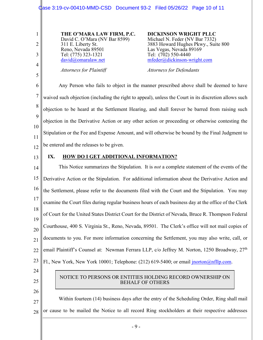1 2 3 4 5 6 7 8 9 10 11 12 13 14 15 16 17 18 19 20 21 22 23 24 25 26 27 28 **THE O'MARA LAW FIRM, P.C.** David C. O'Mara (NV Bar 8599) 311 E. Liberty St. Reno, Nevada 89501 Tel: (775) 323-1321 [david@omaralaw.net](mailto:david@omaralaw.net) *Attorneys for Plaintiff* **DICKINSON WRIGHT PLLC** Michael N. Feder (NV Bar 7332) 3883 Howard Hughes Pkwy., Suite 800 Las Vegas, Nevada 89169 Tel: (702) 550-4440 [mfeder@dickinson-wright.com](mailto:mfeder@dickinson-wright.com) *Attorneys for Defendants* Any Person who fails to object in the manner prescribed above shall be deemed to have waived such objection (including the right to appeal), unless the Court in its discretion allows such objection to be heard at the Settlement Hearing, and shall forever be barred from raising such objection in the Derivative Action or any other action or proceeding or otherwise contesting the Stipulation or the Fee and Expense Amount, and will otherwise be bound by the Final Judgment to be entered and the releases to be given. **IX. HOW DO I GET ADDITIONAL INFORMATION?** This Notice summarizes the Stipulation. It is *not* a complete statement of the events of the Derivative Action or the Stipulation. For additional information about the Derivative Action and the Settlement, please refer to the documents filed with the Court and the Stipulation. You may examine the Court files during regular business hours of each business day at the office of the Clerk of Court for the United States District Court for the District of Nevada, Bruce R. Thompson Federal Courthouse, 400 S. Virginia St., Reno, Nevada, 89501. The Clerk's office will not mail copies of documents to you. For more information concerning the Settlement, you may also write, call, or email Plaintiff's Counsel at: Newman Ferrara LLP, c/o Jeffrey M. Norton, 1250 Broadway, 27<sup>th</sup> Fl., New York, New York 10001; Telephone: (212) 619-5400; or email *jnorton@nfllp.com*. Within fourteen (14) business days after the entry of the Scheduling Order, Ring shall mail or cause to be mailed the Notice to all record Ring stockholders at their respective addresses NOTICE TO PERSONS OR ENTITIES HOLDING RECORD OWNERSHIP ON BEHALF OF OTHERS Case 3:19-cv-00410-MMD-CSD Document 93-2 Filed 05/26/22 Page 10 of 11